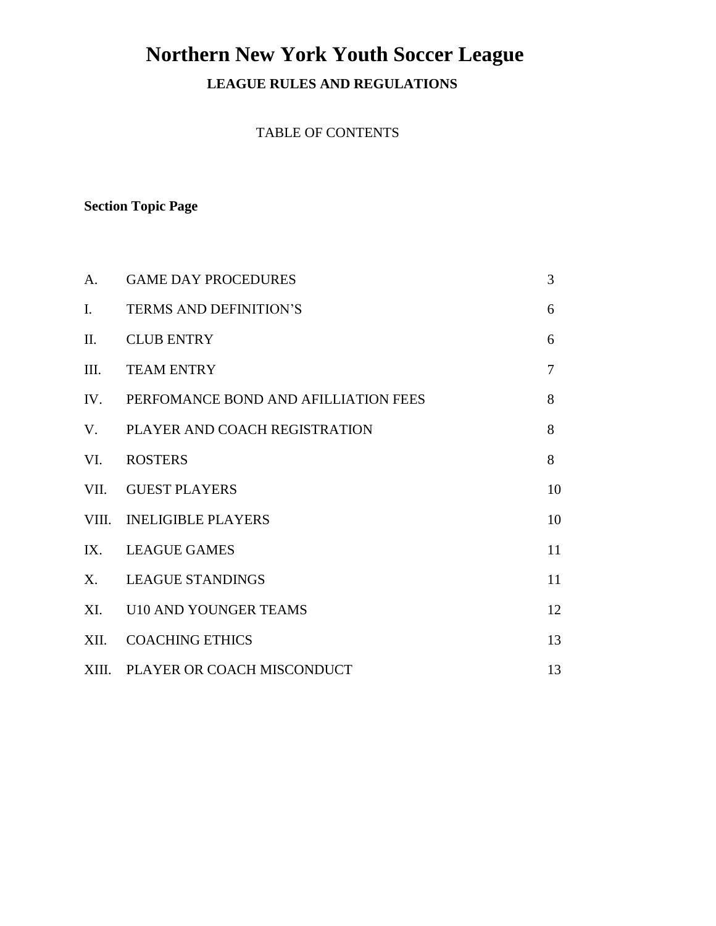# **Northern New York Youth Soccer League**

**LEAGUE RULES AND REGULATIONS**

TABLE OF CONTENTS

#### **Section Topic Page**

| A.             | <b>GAME DAY PROCEDURES</b>               | 3      |
|----------------|------------------------------------------|--------|
| $\mathbf{I}$ . | <b>TERMS AND DEFINITION'S</b>            | 6      |
| II.            | <b>CLUB ENTRY</b>                        | 6      |
| III.           | <b>TEAM ENTRY</b>                        | $\tau$ |
|                | IV. PERFOMANCE BOND AND AFILLIATION FEES | 8      |
|                | V. PLAYER AND COACH REGISTRATION         | 8      |
|                | VI. ROSTERS                              | 8      |
|                | VII. GUEST PLAYERS                       | 10     |
|                | VIII. INELIGIBLE PLAYERS                 | 10     |
|                | IX. LEAGUE GAMES                         | 11     |
|                | X. LEAGUE STANDINGS                      | 11     |
|                | XI. U10 AND YOUNGER TEAMS                | 12     |
|                | XII. COACHING ETHICS                     | 13     |
|                | XIII. PLAYER OR COACH MISCONDUCT         | 13     |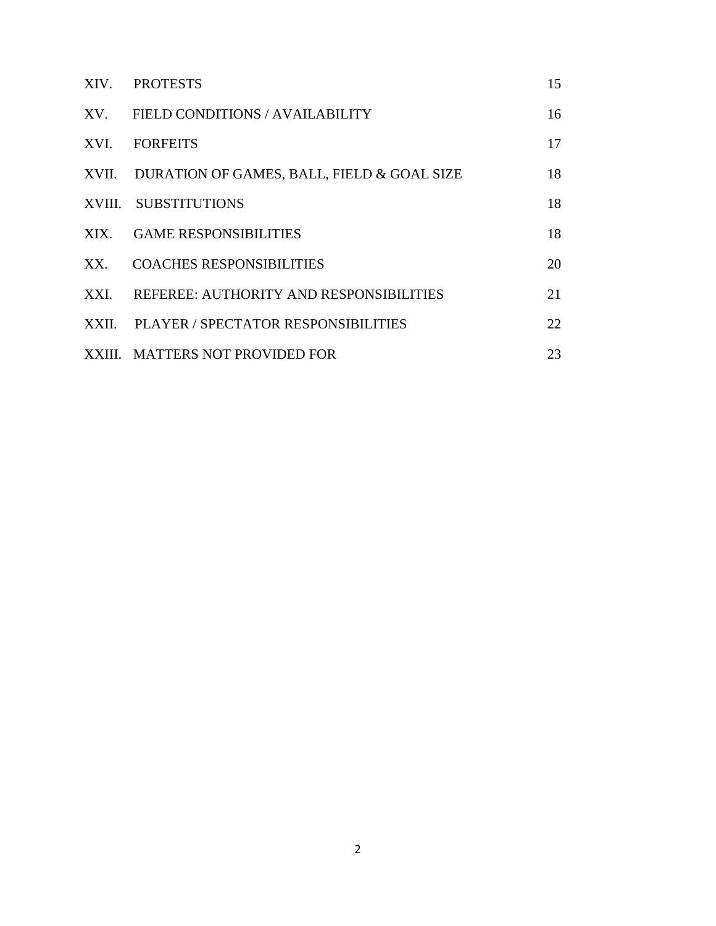|       | XIV. PROTESTS                                    | 15 |
|-------|--------------------------------------------------|----|
|       | XV. FIELD CONDITIONS / AVAILABILITY              | 16 |
| XVI.  | <b>FORFEITS</b>                                  | 17 |
|       | XVII. DURATION OF GAMES, BALL, FIELD & GOAL SIZE | 18 |
|       | XVIII. SUBSTITUTIONS                             | 18 |
| XIX.  | <b>GAME RESPONSIBILITIES</b>                     | 18 |
| XX.   | <b>COACHES RESPONSIBILITIES</b>                  | 20 |
| XXI.  | REFEREE: AUTHORITY AND RESPONSIBILITIES          | 21 |
| XXII. | PLAYER / SPECTATOR RESPONSIBILITIES              | 22 |
|       | XXIII. MATTERS NOT PROVIDED FOR                  | 23 |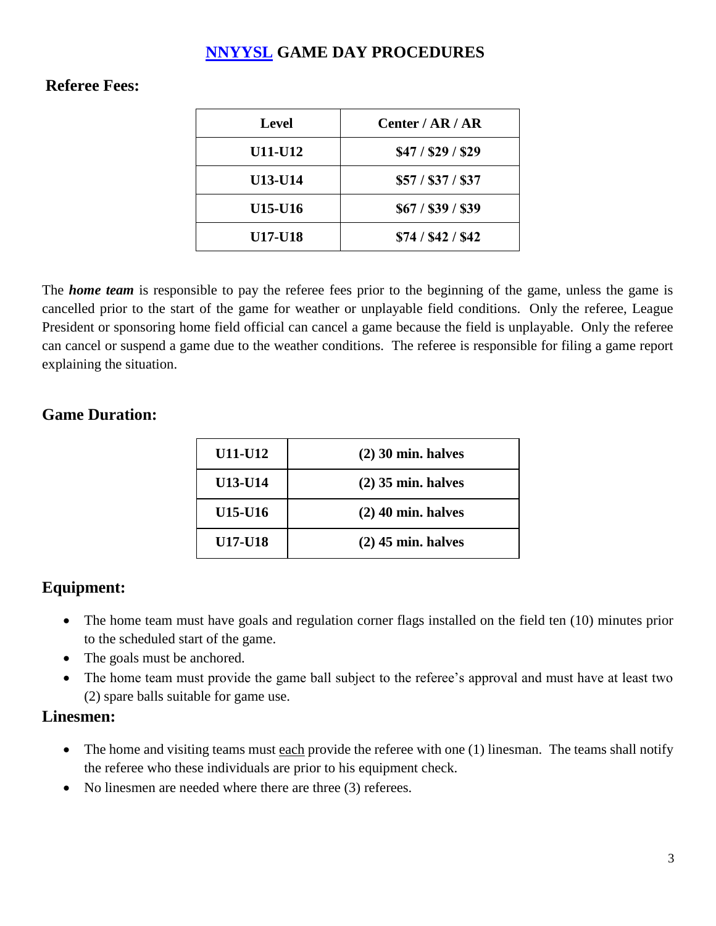## **[NNYYSL](http://nnyysl.com/) GAME DAY PROCEDURES**

# **Referee Fees:**

| <b>Level</b>   | Center / $AR / AR$ |
|----------------|--------------------|
| <b>U11-U12</b> | \$47 / \$29 / \$29 |
| <b>U13-U14</b> | \$57 / \$37 / \$37 |
| U15-U16        | \$67 / \$39 / \$39 |
| <b>U17-U18</b> | \$74 / \$42 / \$42 |

The *home team* is responsible to pay the referee fees prior to the beginning of the game, unless the game is cancelled prior to the start of the game for weather or unplayable field conditions. Only the referee, League President or sponsoring home field official can cancel a game because the field is unplayable. Only the referee can cancel or suspend a game due to the weather conditions. The referee is responsible for filing a game report explaining the situation.

## **Game Duration:**

| U11-U12        | $(2)$ 30 min. halves |
|----------------|----------------------|
| U13-U14        | $(2)$ 35 min. halves |
| U15-U16        | $(2)$ 40 min. halves |
| <b>U17-U18</b> | $(2)$ 45 min. halves |
|                |                      |

# **Equipment:**

- The home team must have goals and regulation corner flags installed on the field ten (10) minutes prior to the scheduled start of the game.
- The goals must be anchored.
- The home team must provide the game ball subject to the referee's approval and must have at least two (2) spare balls suitable for game use.

#### **Linesmen:**

- The home and visiting teams must each provide the referee with one  $(1)$  linesman. The teams shall notify the referee who these individuals are prior to his equipment check.
- No linesmen are needed where there are three (3) referees.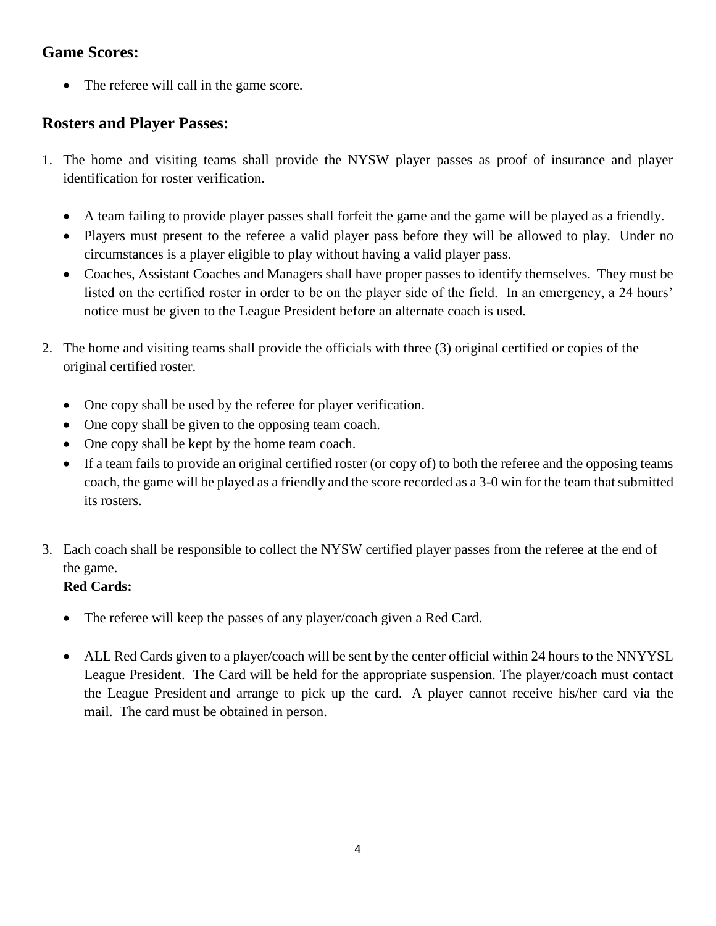# **Game Scores:**

• The referee will call in the game score.

## **Rosters and Player Passes:**

- 1. The home and visiting teams shall provide the NYSW player passes as proof of insurance and player identification for roster verification.
	- A team failing to provide player passes shall forfeit the game and the game will be played as a friendly.
	- Players must present to the referee a valid player pass before they will be allowed to play. Under no circumstances is a player eligible to play without having a valid player pass.
	- Coaches, Assistant Coaches and Managers shall have proper passes to identify themselves. They must be listed on the certified roster in order to be on the player side of the field. In an emergency, a 24 hours' notice must be given to the League President before an alternate coach is used.
- 2. The home and visiting teams shall provide the officials with three (3) original certified or copies of the original certified roster.
	- One copy shall be used by the referee for player verification.
	- One copy shall be given to the opposing team coach.
	- One copy shall be kept by the home team coach.
	- If a team fails to provide an original certified roster (or copy of) to both the referee and the opposing teams coach, the game will be played as a friendly and the score recorded as a 3-0 win for the team that submitted its rosters.
- 3. Each coach shall be responsible to collect the NYSW certified player passes from the referee at the end of the game.

## **Red Cards:**

- The referee will keep the passes of any player/coach given a Red Card.
- ALL Red Cards given to a player/coach will be sent by the center official within 24 hours to the NNYYSL League President. The Card will be held for the appropriate suspension. The player/coach must contact the League President and arrange to pick up the card. A player cannot receive his/her card via the mail. The card must be obtained in person.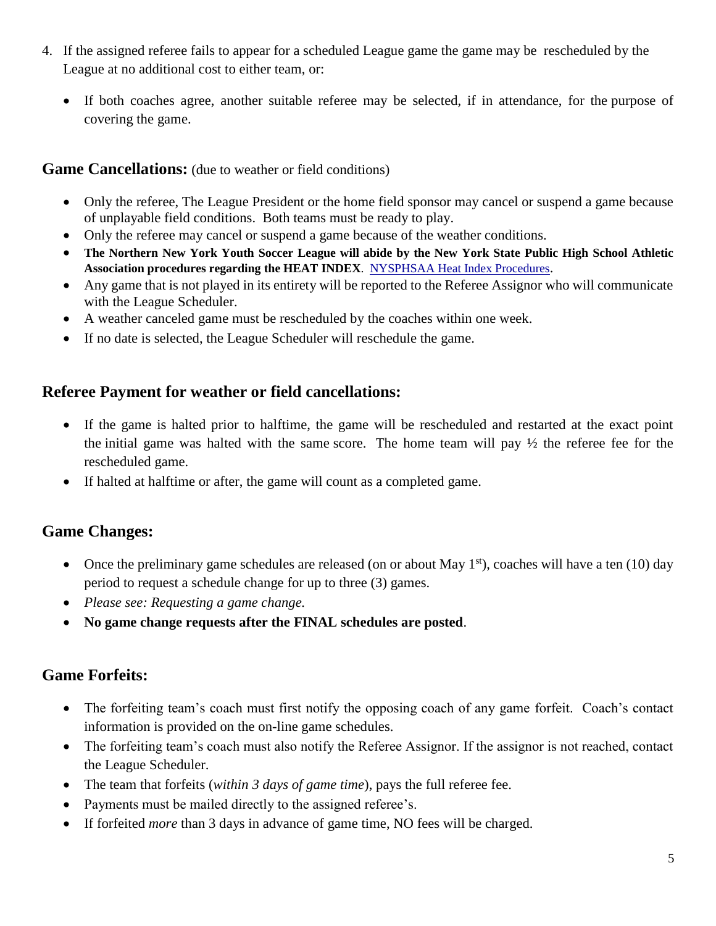- 4. If the assigned referee fails to appear for a scheduled League game the game may be rescheduled by the League at no additional cost to either team, or:
	- If both coaches agree, another suitable referee may be selected, if in attendance, for the purpose of covering the game.

#### **Game Cancellations:** (due to weather or field conditions)

- Only the referee, The League President or the home field sponsor may cancel or suspend a game because of unplayable field conditions. Both teams must be ready to play.
- Only the referee may cancel or suspend a game because of the weather conditions.
- **The Northern New York Youth Soccer League will abide by the New York State Public High School Athletic Association procedures regarding the HEAT INDEX**. [NYSPHSAA Heat Index Procedures](http://www.nysphsaa.org/Portals/0/PDF/Safety/HeatIndexProcedure.pdf).
- Any game that is not played in its entirety will be reported to the Referee Assignor who will communicate with the League Scheduler.
- A weather canceled game must be rescheduled by the coaches within one week.
- If no date is selected, the League Scheduler will reschedule the game.

## **Referee Payment for weather or field cancellations:**

- If the game is halted prior to halftime, the game will be rescheduled and restarted at the exact point the initial game was halted with the same score. The home team will pay ½ the referee fee for the rescheduled game.
- If halted at halftime or after, the game will count as a completed game.

## **Game Changes:**

- Once the preliminary game schedules are released (on or about May  $1<sup>st</sup>$ ), coaches will have a ten (10) day period to request a schedule change for up to three (3) games.
- *Please see: Requesting a game change.*
- **No game change requests after the FINAL schedules are posted**.

## **Game Forfeits:**

- The forfeiting team's coach must first notify the opposing coach of any game forfeit. Coach's contact information is provided on the on-line game schedules.
- The forfeiting team's coach must also notify the Referee Assignor. If the assignor is not reached, contact the League Scheduler.
- The team that forfeits (*within 3 days of game time*), pays the full referee fee.
- Payments must be mailed directly to the assigned referee's.
- If forfeited *more* than 3 days in advance of game time, NO fees will be charged.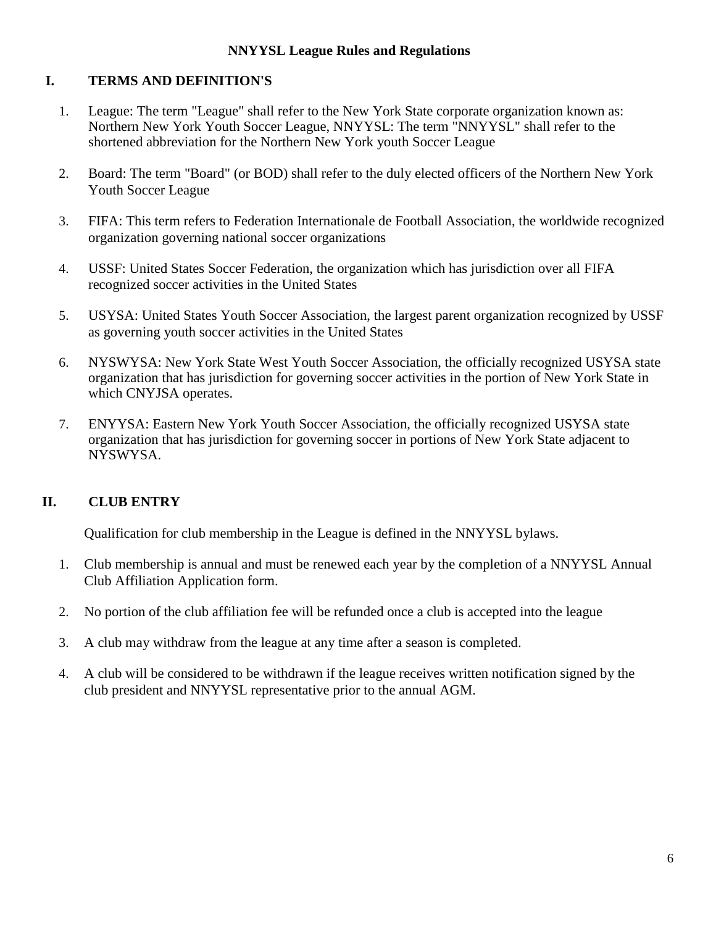#### **NNYYSL League Rules and Regulations**

#### **I. TERMS AND DEFINITION'S**

- 1. League: The term "League" shall refer to the New York State corporate organization known as: Northern New York Youth Soccer League, NNYYSL: The term "NNYYSL" shall refer to the shortened abbreviation for the Northern New York youth Soccer League
- 2. Board: The term "Board" (or BOD) shall refer to the duly elected officers of the Northern New York Youth Soccer League
- 3. FIFA: This term refers to Federation Internationale de Football Association, the worldwide recognized organization governing national soccer organizations
- 4. USSF: United States Soccer Federation, the organization which has jurisdiction over all FIFA recognized soccer activities in the United States
- 5. USYSA: United States Youth Soccer Association, the largest parent organization recognized by USSF as governing youth soccer activities in the United States
- 6. NYSWYSA: New York State West Youth Soccer Association, the officially recognized USYSA state organization that has jurisdiction for governing soccer activities in the portion of New York State in which CNYJSA operates.
- 7. ENYYSA: Eastern New York Youth Soccer Association, the officially recognized USYSA state organization that has jurisdiction for governing soccer in portions of New York State adjacent to NYSWYSA.

## **II. CLUB ENTRY**

Qualification for club membership in the League is defined in the NNYYSL bylaws.

- 1. Club membership is annual and must be renewed each year by the completion of a NNYYSL Annual Club Affiliation Application form.
- 2. No portion of the club affiliation fee will be refunded once a club is accepted into the league
- 3. A club may withdraw from the league at any time after a season is completed.
- 4. A club will be considered to be withdrawn if the league receives written notification signed by the club president and NNYYSL representative prior to the annual AGM.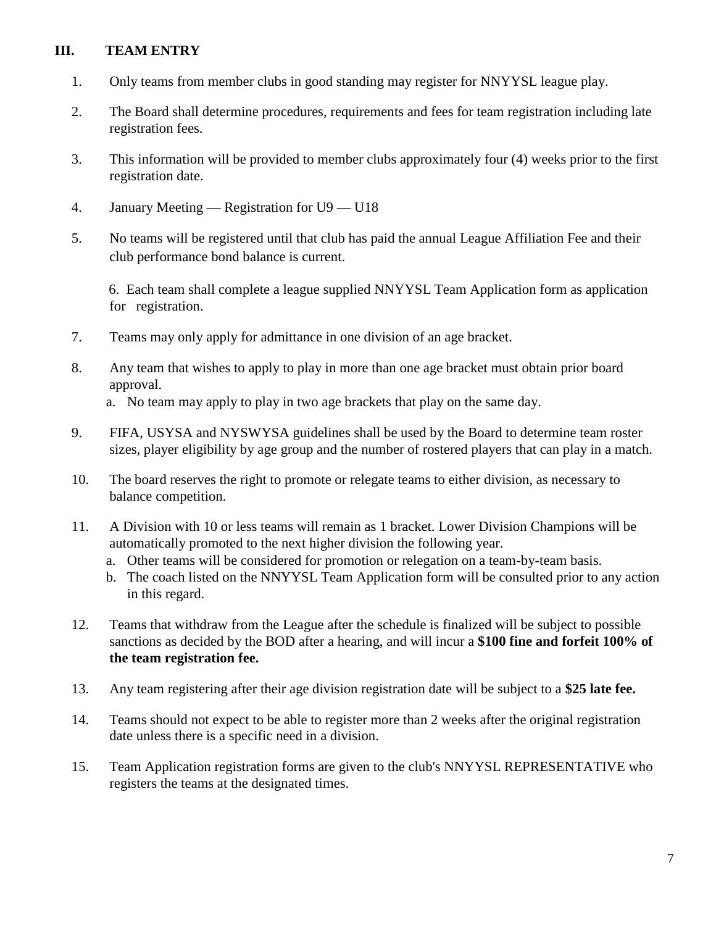#### **III. TEAM ENTRY**

- 1. Only teams from member clubs in good standing may register for NNYYSL league play.
- 2. The Board shall determine procedures, requirements and fees for team registration including late registration fees.
- 3. This information will be provided to member clubs approximately four (4) weeks prior to the first registration date.
- 4. January Meeting Registration for U9 U18
- 5. No teams will be registered until that club has paid the annual League Affiliation Fee and their club performance bond balance is current.

6. Each team shall complete a league supplied NNYYSL Team Application form as application for registration.

- 7. Teams may only apply for admittance in one division of an age bracket.
- 8. Any team that wishes to apply to play in more than one age bracket must obtain prior board approval.

a. No team may apply to play in two age brackets that play on the same day.

- 9. FIFA, USYSA and NYSWYSA guidelines shall be used by the Board to determine team roster sizes, player eligibility by age group and the number of rostered players that can play in a match.
- 10. The board reserves the right to promote or relegate teams to either division, as necessary to balance competition.
- 11. A Division with 10 or less teams will remain as 1 bracket. Lower Division Champions will be automatically promoted to the next higher division the following year.
	- a. Other teams will be considered for promotion or relegation on a team-by-team basis.
	- b. The coach listed on the NNYYSL Team Application form will be consulted prior to any action in this regard.
- 12. Teams that withdraw from the League after the schedule is finalized will be subject to possible sanctions as decided by the BOD after a hearing, and will incur a **\$100 fine and forfeit 100% of the team registration fee.**
- 13. Any team registering after their age division registration date will be subject to a **\$25 late fee.**
- 14. Teams should not expect to be able to register more than 2 weeks after the original registration date unless there is a specific need in a division.
- 15. Team Application registration forms are given to the club's NNYYSL REPRESENTATIVE who registers the teams at the designated times.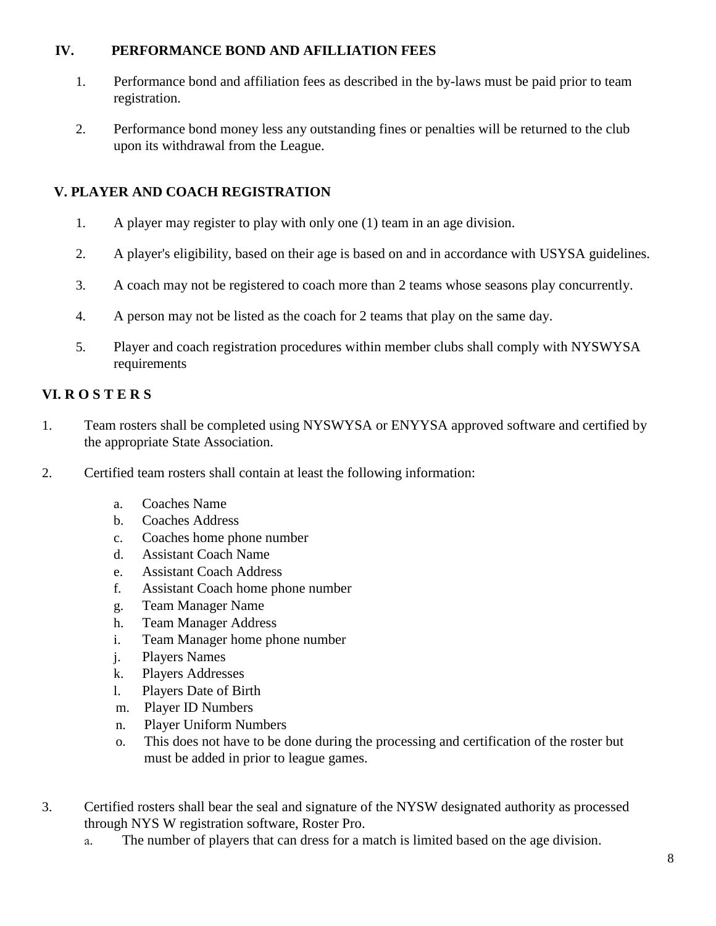#### **IV. PERFORMANCE BOND AND AFILLIATION FEES**

- 1. Performance bond and affiliation fees as described in the by-laws must be paid prior to team registration.
- 2. Performance bond money less any outstanding fines or penalties will be returned to the club upon its withdrawal from the League.

## **V. PLAYER AND COACH REGISTRATION**

- 1. A player may register to play with only one (1) team in an age division.
- 2. A player's eligibility, based on their age is based on and in accordance with USYSA guidelines.
- 3. A coach may not be registered to coach more than 2 teams whose seasons play concurrently.
- 4. A person may not be listed as the coach for 2 teams that play on the same day.
- 5. Player and coach registration procedures within member clubs shall comply with NYSWYSA requirements

#### **VI. R O S T E R S**

- 1. Team rosters shall be completed using NYSWYSA or ENYYSA approved software and certified by the appropriate State Association.
- 2. Certified team rosters shall contain at least the following information:
	- a. Coaches Name
	- b. Coaches Address
	- c. Coaches home phone number
	- d. Assistant Coach Name
	- e. Assistant Coach Address
	- f. Assistant Coach home phone number
	- g. Team Manager Name
	- h. Team Manager Address
	- i. Team Manager home phone number
	- j. Players Names
	- k. Players Addresses
	- l. Players Date of Birth
	- m. Player ID Numbers
	- n. Player Uniform Numbers
	- o. This does not have to be done during the processing and certification of the roster but must be added in prior to league games.
- 3. Certified rosters shall bear the seal and signature of the NYSW designated authority as processed through NYS W registration software, Roster Pro.
	- a. The number of players that can dress for a match is limited based on the age division.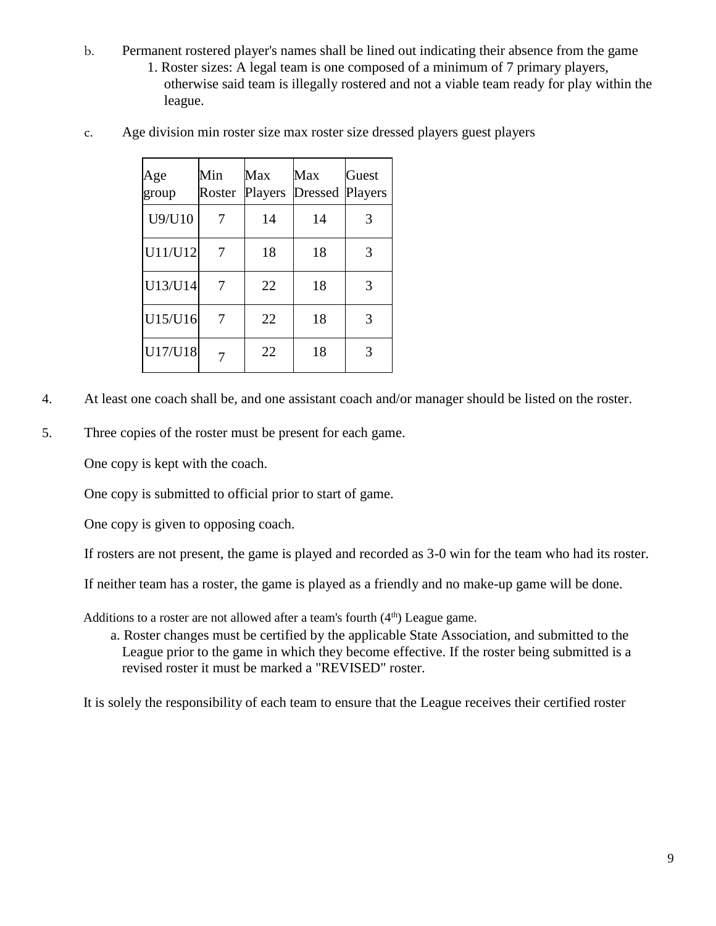- b. Permanent rostered player's names shall be lined out indicating their absence from the game
	- 1. Roster sizes: A legal team is one composed of a minimum of 7 primary players, otherwise said team is illegally rostered and not a viable team ready for play within the league.
- c. Age division min roster size max roster size dressed players guest players

| Age<br>group | Min<br>Roster | Max<br>Players | Max<br><b>Dressed</b> | Guest<br>Players |
|--------------|---------------|----------------|-----------------------|------------------|
| U9/U10       |               | 14             | 14                    | 3                |
| U11/U12      |               | 18             | 18                    | 3                |
| U13/U14      |               | 22             | 18                    | 3                |
| U15/U16      |               | 22             | 18                    | 3                |
| U17/U18      |               | 22             | 18                    | 3                |

- 4. At least one coach shall be, and one assistant coach and/or manager should be listed on the roster.
- 5. Three copies of the roster must be present for each game.

One copy is kept with the coach.

One copy is submitted to official prior to start of game.

One copy is given to opposing coach.

If rosters are not present, the game is played and recorded as 3-0 win for the team who had its roster.

If neither team has a roster, the game is played as a friendly and no make-up game will be done.

Additions to a roster are not allowed after a team's fourth  $(4<sup>th</sup>)$  League game.

a. Roster changes must be certified by the applicable State Association, and submitted to the League prior to the game in which they become effective. If the roster being submitted is a revised roster it must be marked a "REVISED" roster.

It is solely the responsibility of each team to ensure that the League receives their certified roster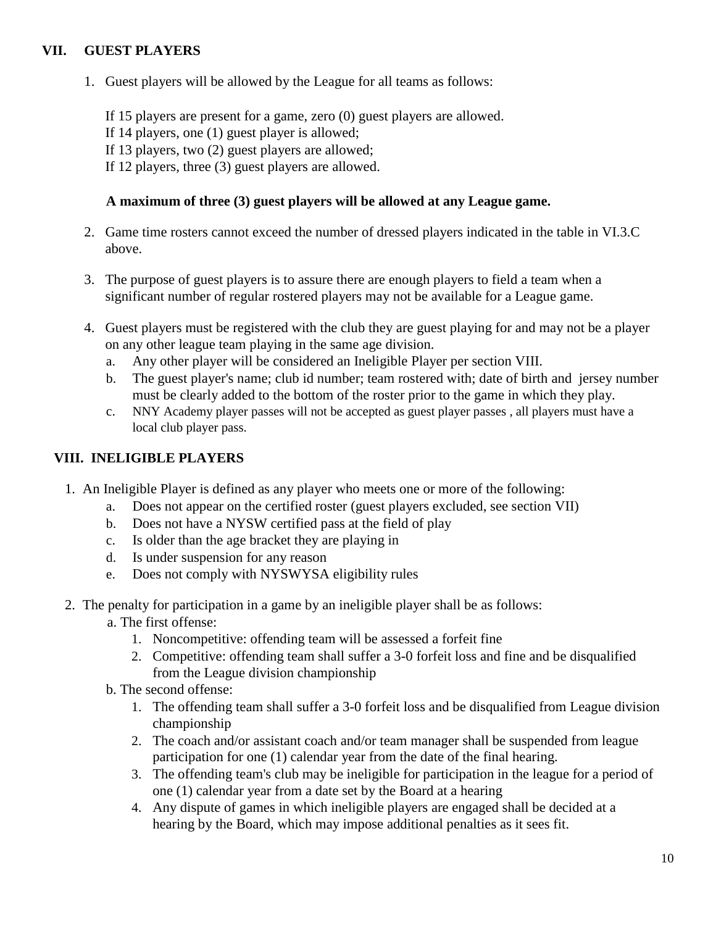#### **VII. GUEST PLAYERS**

1. Guest players will be allowed by the League for all teams as follows:

If 15 players are present for a game, zero (0) guest players are allowed.

If 14 players, one (1) guest player is allowed;

If 13 players, two (2) guest players are allowed;

If 12 players, three (3) guest players are allowed.

#### **A maximum of three (3) guest players will be allowed at any League game.**

- 2. Game time rosters cannot exceed the number of dressed players indicated in the table in VI.3.C above.
- 3. The purpose of guest players is to assure there are enough players to field a team when a significant number of regular rostered players may not be available for a League game.
- 4. Guest players must be registered with the club they are guest playing for and may not be a player on any other league team playing in the same age division.
	- a. Any other player will be considered an Ineligible Player per section VIII.
	- b. The guest player's name; club id number; team rostered with; date of birth and jersey number must be clearly added to the bottom of the roster prior to the game in which they play.
	- c. NNY Academy player passes will not be accepted as guest player passes , all players must have a local club player pass.

## **VIII. INELIGIBLE PLAYERS**

- 1. An Ineligible Player is defined as any player who meets one or more of the following:
	- a. Does not appear on the certified roster (guest players excluded, see section VII)
	- b. Does not have a NYSW certified pass at the field of play
	- c. Is older than the age bracket they are playing in
	- d. Is under suspension for any reason
	- e. Does not comply with NYSWYSA eligibility rules
- 2. The penalty for participation in a game by an ineligible player shall be as follows:
	- a. The first offense:
		- 1. Noncompetitive: offending team will be assessed a forfeit fine
		- 2. Competitive: offending team shall suffer a 3-0 forfeit loss and fine and be disqualified from the League division championship
	- b. The second offense:
		- 1. The offending team shall suffer a 3-0 forfeit loss and be disqualified from League division championship
		- 2. The coach and/or assistant coach and/or team manager shall be suspended from league participation for one (1) calendar year from the date of the final hearing.
		- 3. The offending team's club may be ineligible for participation in the league for a period of one (1) calendar year from a date set by the Board at a hearing
		- 4. Any dispute of games in which ineligible players are engaged shall be decided at a hearing by the Board, which may impose additional penalties as it sees fit.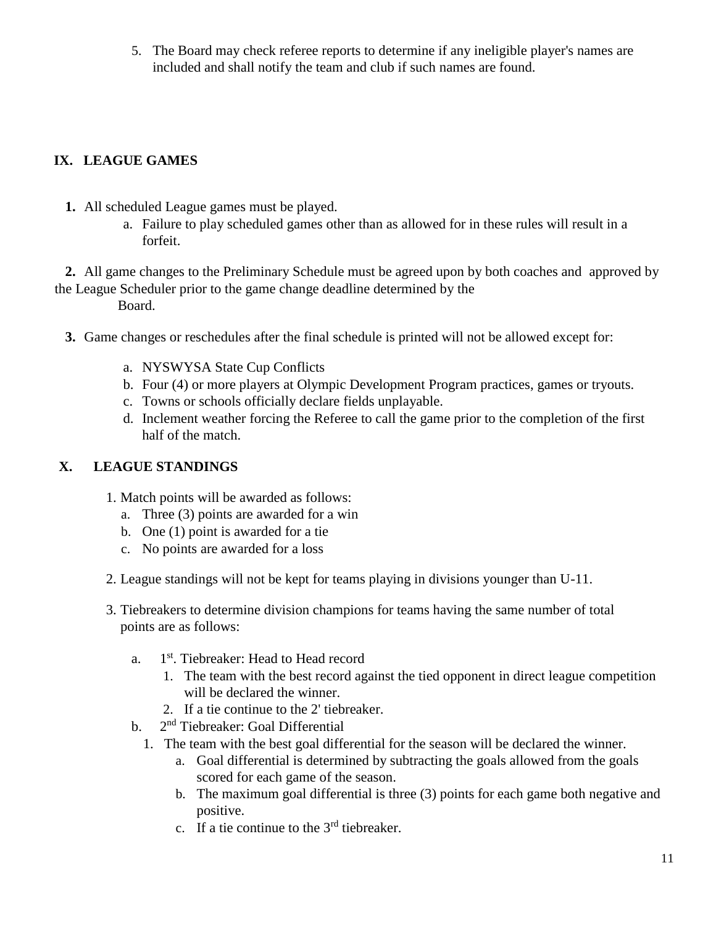5. The Board may check referee reports to determine if any ineligible player's names are included and shall notify the team and club if such names are found.

## **IX. LEAGUE GAMES**

- **1.** All scheduled League games must be played.
	- a. Failure to play scheduled games other than as allowed for in these rules will result in a forfeit.

**2.** All game changes to the Preliminary Schedule must be agreed upon by both coaches and approved by the League Scheduler prior to the game change deadline determined by the

Board.

- **3.** Game changes or reschedules after the final schedule is printed will not be allowed except for:
	- a. NYSWYSA State Cup Conflicts
	- b. Four (4) or more players at Olympic Development Program practices, games or tryouts.
	- c. Towns or schools officially declare fields unplayable.
	- d. Inclement weather forcing the Referee to call the game prior to the completion of the first half of the match.

## **X. LEAGUE STANDINGS**

- 1. Match points will be awarded as follows:
	- a. Three (3) points are awarded for a win
	- b. One (1) point is awarded for a tie
	- c. No points are awarded for a loss
- 2. League standings will not be kept for teams playing in divisions younger than U-11.
- 3. Tiebreakers to determine division champions for teams having the same number of total points are as follows:
	- a. 1<sup>st</sup>. Tiebreaker: Head to Head record
		- 1. The team with the best record against the tied opponent in direct league competition will be declared the winner.
		- 2. If a tie continue to the 2' tiebreaker.
	- $\mathbf b$ . 2<sup>nd</sup> Tiebreaker: Goal Differential
		- 1. The team with the best goal differential for the season will be declared the winner.
			- a. Goal differential is determined by subtracting the goals allowed from the goals scored for each game of the season.
			- b. The maximum goal differential is three (3) points for each game both negative and positive.
			- c. If a tie continue to the  $3<sup>rd</sup>$  tiebreaker.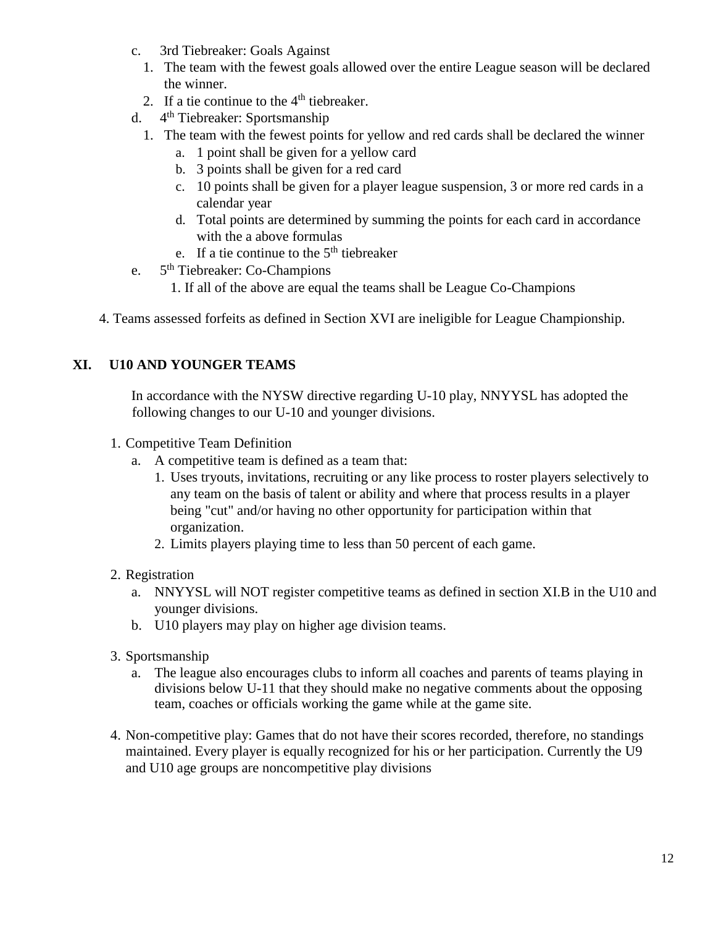- c. 3rd Tiebreaker: Goals Against
	- 1. The team with the fewest goals allowed over the entire League season will be declared the winner.
	- 2. If a tie continue to the  $4<sup>th</sup>$  tiebreaker.
- d. 4<sup>th</sup> Tiebreaker: Sportsmanship
	- 1. The team with the fewest points for yellow and red cards shall be declared the winner
		- a. 1 point shall be given for a yellow card
		- b. 3 points shall be given for a red card
		- c. 10 points shall be given for a player league suspension, 3 or more red cards in a calendar year
		- d. Total points are determined by summing the points for each card in accordance with the a above formulas
		- e. If a tie continue to the  $5<sup>th</sup>$  tiebreaker
- e. 5<sup>th</sup> Tiebreaker: Co-Champions
	- 1. If all of the above are equal the teams shall be League Co-Champions
- 4. Teams assessed forfeits as defined in Section XVI are ineligible for League Championship.

#### **XI. U10 AND YOUNGER TEAMS**

In accordance with the NYSW directive regarding U-10 play, NNYYSL has adopted the following changes to our U-10 and younger divisions.

- 1. Competitive Team Definition
	- a. A competitive team is defined as a team that:
		- 1. Uses tryouts, invitations, recruiting or any like process to roster players selectively to any team on the basis of talent or ability and where that process results in a player being "cut" and/or having no other opportunity for participation within that organization.
		- 2. Limits players playing time to less than 50 percent of each game.
- 2. Registration
	- a. NNYYSL will NOT register competitive teams as defined in section XI.B in the U10 and younger divisions.
	- b. U10 players may play on higher age division teams.
- 3. Sportsmanship
	- a. The league also encourages clubs to inform all coaches and parents of teams playing in divisions below U-11 that they should make no negative comments about the opposing team, coaches or officials working the game while at the game site.
- 4. Non-competitive play: Games that do not have their scores recorded, therefore, no standings maintained. Every player is equally recognized for his or her participation. Currently the U9 and U10 age groups are noncompetitive play divisions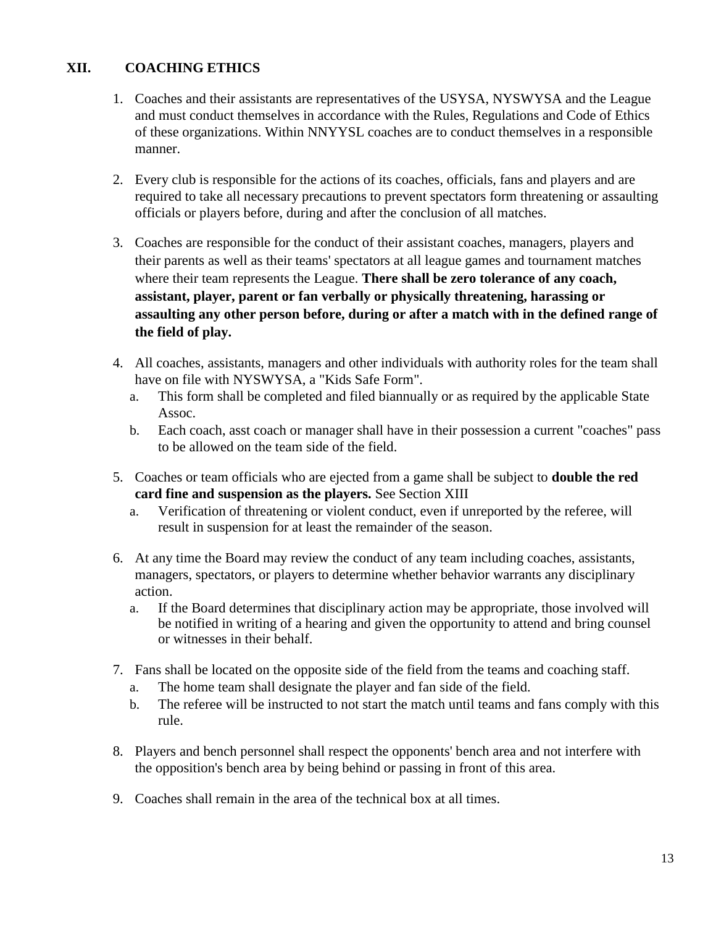## **XII. COACHING ETHICS**

- 1. Coaches and their assistants are representatives of the USYSA, NYSWYSA and the League and must conduct themselves in accordance with the Rules, Regulations and Code of Ethics of these organizations. Within NNYYSL coaches are to conduct themselves in a responsible manner.
- 2. Every club is responsible for the actions of its coaches, officials, fans and players and are required to take all necessary precautions to prevent spectators form threatening or assaulting officials or players before, during and after the conclusion of all matches.
- 3. Coaches are responsible for the conduct of their assistant coaches, managers, players and their parents as well as their teams' spectators at all league games and tournament matches where their team represents the League. **There shall be zero tolerance of any coach, assistant, player, parent or fan verbally or physically threatening, harassing or assaulting any other person before, during or after a match with in the defined range of the field of play.**
- 4. All coaches, assistants, managers and other individuals with authority roles for the team shall have on file with NYSWYSA, a "Kids Safe Form".
	- a. This form shall be completed and filed biannually or as required by the applicable State Assoc.
	- b. Each coach, asst coach or manager shall have in their possession a current "coaches" pass to be allowed on the team side of the field.
- 5. Coaches or team officials who are ejected from a game shall be subject to **double the red card fine and suspension as the players.** See Section XIII
	- a. Verification of threatening or violent conduct, even if unreported by the referee, will result in suspension for at least the remainder of the season.
- 6. At any time the Board may review the conduct of any team including coaches, assistants, managers, spectators, or players to determine whether behavior warrants any disciplinary action.
	- a. If the Board determines that disciplinary action may be appropriate, those involved will be notified in writing of a hearing and given the opportunity to attend and bring counsel or witnesses in their behalf.
- 7. Fans shall be located on the opposite side of the field from the teams and coaching staff.
	- a. The home team shall designate the player and fan side of the field.
	- b. The referee will be instructed to not start the match until teams and fans comply with this rule.
- 8. Players and bench personnel shall respect the opponents' bench area and not interfere with the opposition's bench area by being behind or passing in front of this area.
- 9. Coaches shall remain in the area of the technical box at all times.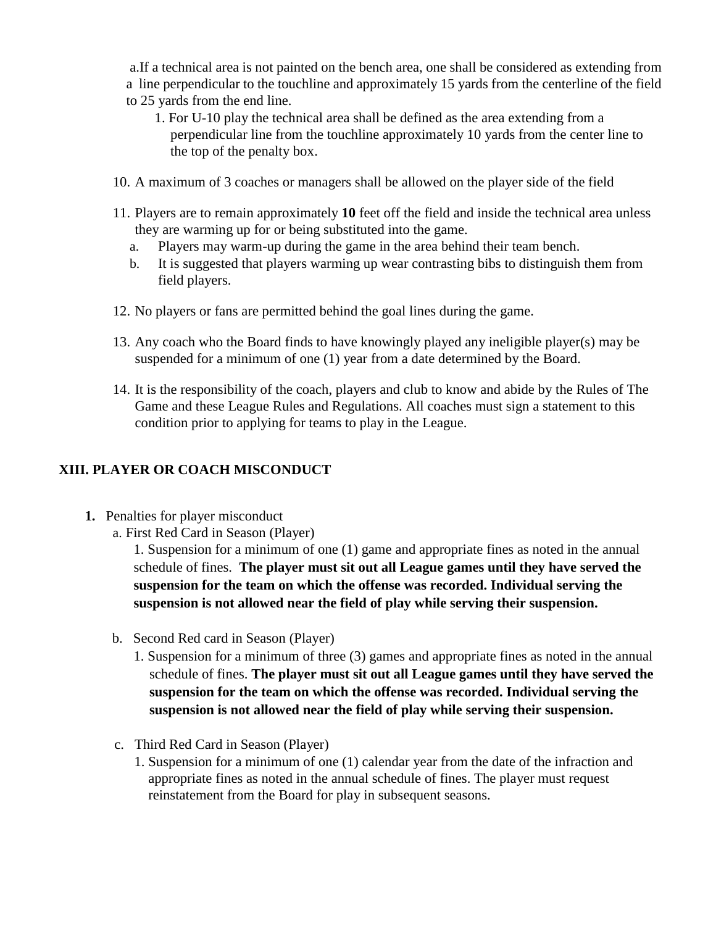a.If a technical area is not painted on the bench area, one shall be considered as extending from a line perpendicular to the touchline and approximately 15 yards from the centerline of the field to 25 yards from the end line.

- 1. For U-10 play the technical area shall be defined as the area extending from a perpendicular line from the touchline approximately 10 yards from the center line to the top of the penalty box.
- 10. A maximum of 3 coaches or managers shall be allowed on the player side of the field
- 11. Players are to remain approximately **10** feet off the field and inside the technical area unless they are warming up for or being substituted into the game.
	- a. Players may warm-up during the game in the area behind their team bench.
	- b. It is suggested that players warming up wear contrasting bibs to distinguish them from field players.
- 12. No players or fans are permitted behind the goal lines during the game.
- 13. Any coach who the Board finds to have knowingly played any ineligible player(s) may be suspended for a minimum of one (1) year from a date determined by the Board.
- 14. It is the responsibility of the coach, players and club to know and abide by the Rules of The Game and these League Rules and Regulations. All coaches must sign a statement to this condition prior to applying for teams to play in the League.

## **XIII. PLAYER OR COACH MISCONDUCT**

**1.** Penalties for player misconduct

a. First Red Card in Season (Player)

1. Suspension for a minimum of one (1) game and appropriate fines as noted in the annual schedule of fines. **The player must sit out all League games until they have served the suspension for the team on which the offense was recorded. Individual serving the suspension is not allowed near the field of play while serving their suspension.**

- b. Second Red card in Season (Player)
	- 1. Suspension for a minimum of three (3) games and appropriate fines as noted in the annual schedule of fines. **The player must sit out all League games until they have served the suspension for the team on which the offense was recorded. Individual serving the suspension is not allowed near the field of play while serving their suspension.**
- c. Third Red Card in Season (Player)
	- 1. Suspension for a minimum of one (1) calendar year from the date of the infraction and appropriate fines as noted in the annual schedule of fines. The player must request reinstatement from the Board for play in subsequent seasons.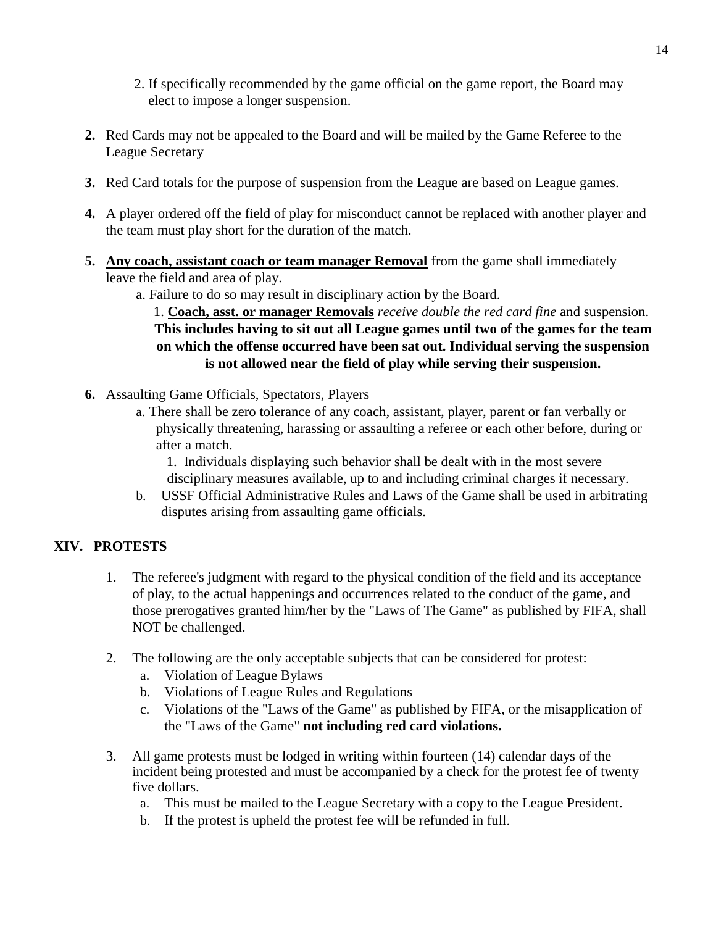- 2. If specifically recommended by the game official on the game report, the Board may elect to impose a longer suspension.
- **2.** Red Cards may not be appealed to the Board and will be mailed by the Game Referee to the League Secretary
- **3.** Red Card totals for the purpose of suspension from the League are based on League games.
- **4.** A player ordered off the field of play for misconduct cannot be replaced with another player and the team must play short for the duration of the match.
- **5. Any coach, assistant coach or team manager Removal** from the game shall immediately leave the field and area of play.
	- a. Failure to do so may result in disciplinary action by the Board.

1. **Coach, asst. or manager Removals** *receive double the red card fine* and suspension. **This includes having to sit out all League games until two of the games for the team on which the offense occurred have been sat out. Individual serving the suspension is not allowed near the field of play while serving their suspension.**

- **6.** Assaulting Game Officials, Spectators, Players
	- a. There shall be zero tolerance of any coach, assistant, player, parent or fan verbally or physically threatening, harassing or assaulting a referee or each other before, during or after a match.
		- 1. Individuals displaying such behavior shall be dealt with in the most severe disciplinary measures available, up to and including criminal charges if necessary.
	- b. USSF Official Administrative Rules and Laws of the Game shall be used in arbitrating disputes arising from assaulting game officials.

#### **XIV. PROTESTS**

- 1. The referee's judgment with regard to the physical condition of the field and its acceptance of play, to the actual happenings and occurrences related to the conduct of the game, and those prerogatives granted him/her by the "Laws of The Game" as published by FIFA, shall NOT be challenged.
- 2. The following are the only acceptable subjects that can be considered for protest:
	- a. Violation of League Bylaws
	- b. Violations of League Rules and Regulations
	- c. Violations of the "Laws of the Game" as published by FIFA, or the misapplication of the "Laws of the Game" **not including red card violations.**
- 3. All game protests must be lodged in writing within fourteen (14) calendar days of the incident being protested and must be accompanied by a check for the protest fee of twenty five dollars.
	- a. This must be mailed to the League Secretary with a copy to the League President.
	- b. If the protest is upheld the protest fee will be refunded in full.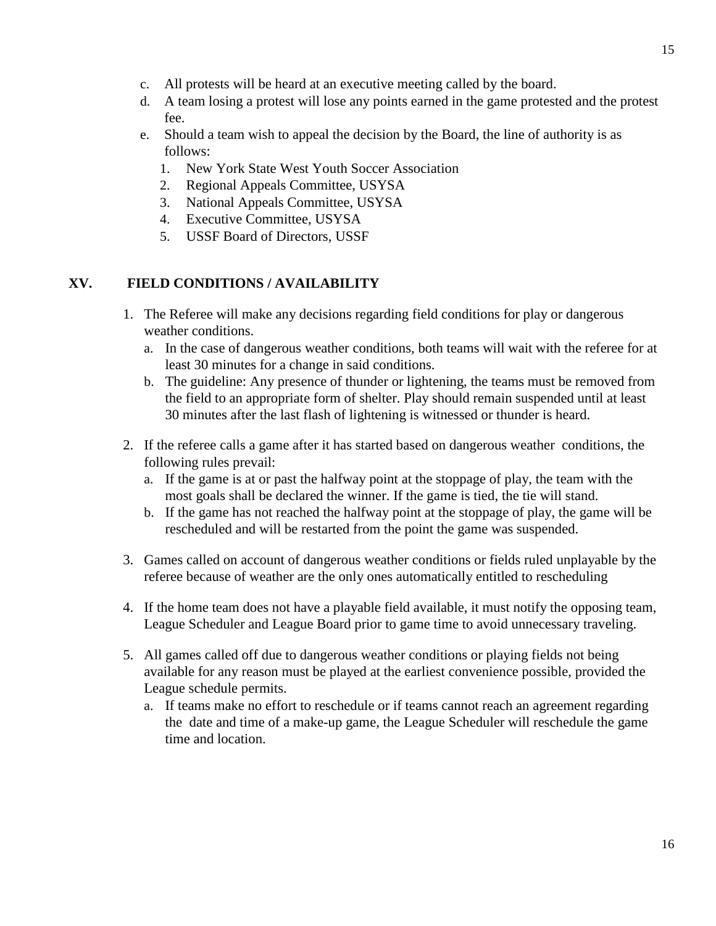- c. All protests will be heard at an executive meeting called by the board.
- d. A team losing a protest will lose any points earned in the game protested and the protest fee.
- e. Should a team wish to appeal the decision by the Board, the line of authority is as follows:
	- 1. New York State West Youth Soccer Association
	- 2. Regional Appeals Committee, USYSA
	- 3. National Appeals Committee, USYSA
	- 4. Executive Committee, USYSA
	- 5. USSF Board of Directors, USSF

#### **XV. FIELD CONDITIONS / AVAILABILITY**

- 1. The Referee will make any decisions regarding field conditions for play or dangerous weather conditions.
	- a. In the case of dangerous weather conditions, both teams will wait with the referee for at least 30 minutes for a change in said conditions.
	- b. The guideline: Any presence of thunder or lightening, the teams must be removed from the field to an appropriate form of shelter. Play should remain suspended until at least 30 minutes after the last flash of lightening is witnessed or thunder is heard.
- 2. If the referee calls a game after it has started based on dangerous weather conditions, the following rules prevail:
	- a. If the game is at or past the halfway point at the stoppage of play, the team with the most goals shall be declared the winner. If the game is tied, the tie will stand.
	- b. If the game has not reached the halfway point at the stoppage of play, the game will be rescheduled and will be restarted from the point the game was suspended.
- 3. Games called on account of dangerous weather conditions or fields ruled unplayable by the referee because of weather are the only ones automatically entitled to rescheduling
- 4. If the home team does not have a playable field available, it must notify the opposing team, League Scheduler and League Board prior to game time to avoid unnecessary traveling.
- 5. All games called off due to dangerous weather conditions or playing fields not being available for any reason must be played at the earliest convenience possible, provided the League schedule permits.
	- a. If teams make no effort to reschedule or if teams cannot reach an agreement regarding the date and time of a make-up game, the League Scheduler will reschedule the game time and location.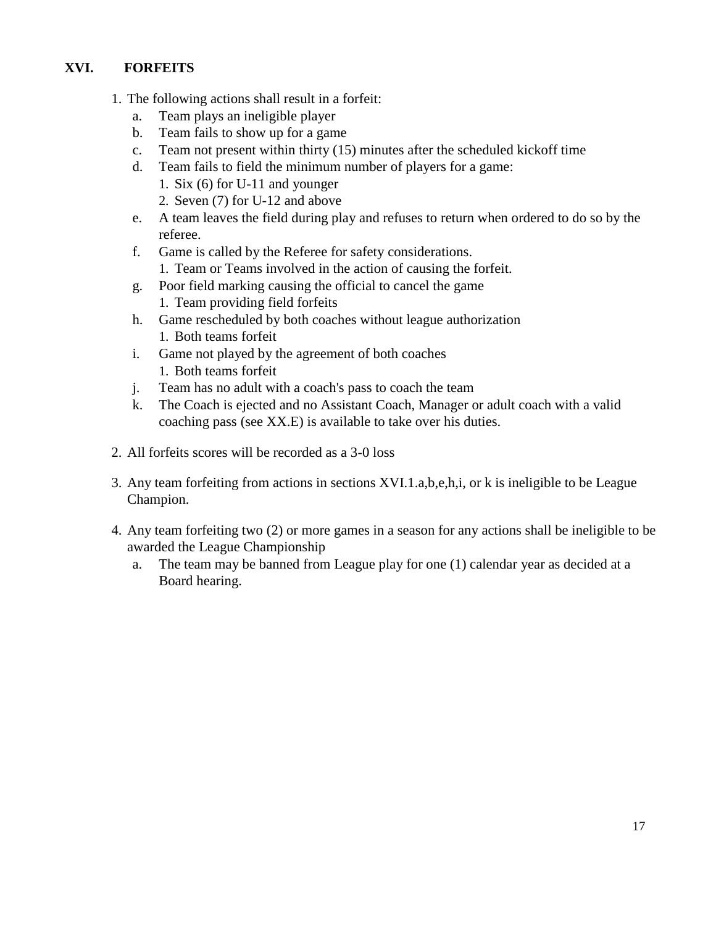## **XVI. FORFEITS**

- 1. The following actions shall result in a forfeit:
	- a. Team plays an ineligible player
	- b. Team fails to show up for a game
	- c. Team not present within thirty (15) minutes after the scheduled kickoff time
	- d. Team fails to field the minimum number of players for a game:
		- 1. Six (6) for U-11 and younger
		- 2. Seven (7) for U-12 and above
	- e. A team leaves the field during play and refuses to return when ordered to do so by the referee.
	- f. Game is called by the Referee for safety considerations. 1. Team or Teams involved in the action of causing the forfeit.
	- g. Poor field marking causing the official to cancel the game 1. Team providing field forfeits
	- h. Game rescheduled by both coaches without league authorization 1. Both teams forfeit
	- i. Game not played by the agreement of both coaches 1. Both teams forfeit
	- j. Team has no adult with a coach's pass to coach the team
	- k. The Coach is ejected and no Assistant Coach, Manager or adult coach with a valid coaching pass (see XX.E) is available to take over his duties.
- 2. All forfeits scores will be recorded as a 3-0 loss
- 3. Any team forfeiting from actions in sections XVI.1.a,b,e,h,i, or k is ineligible to be League Champion.
- 4. Any team forfeiting two (2) or more games in a season for any actions shall be ineligible to be awarded the League Championship
	- a. The team may be banned from League play for one (1) calendar year as decided at a Board hearing.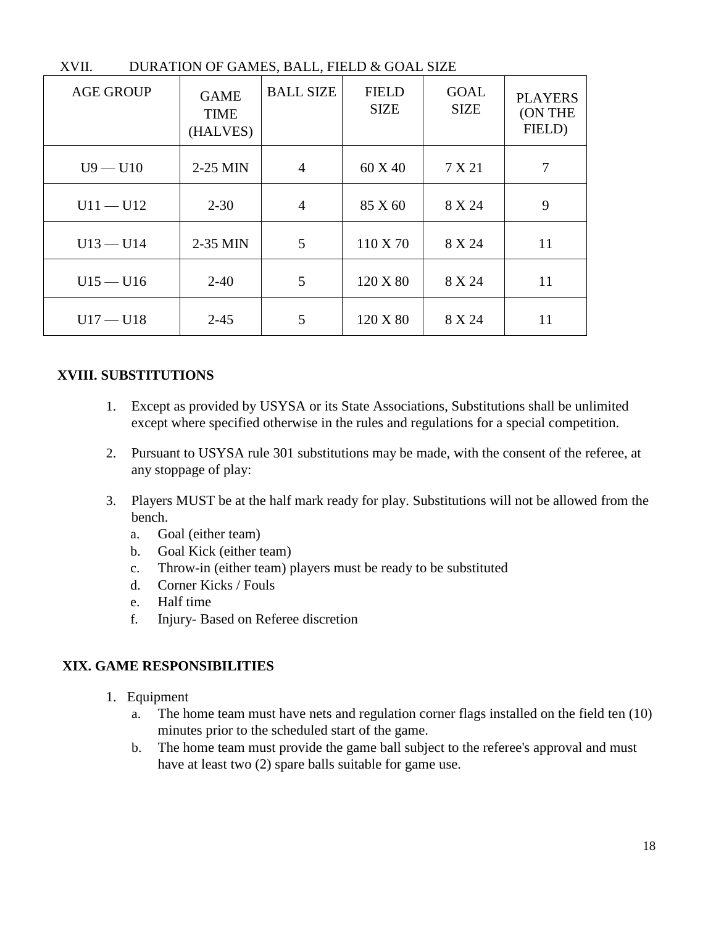| $\Lambda$ V II.<br>DUNATION OF GAMES, DALL, FIELD & GOAL SIZE |                                        |                  |                             |                            |                                     |
|---------------------------------------------------------------|----------------------------------------|------------------|-----------------------------|----------------------------|-------------------------------------|
| <b>AGE GROUP</b>                                              | <b>GAME</b><br><b>TIME</b><br>(HALVES) | <b>BALL SIZE</b> | <b>FIELD</b><br><b>SIZE</b> | <b>GOAL</b><br><b>SIZE</b> | <b>PLAYERS</b><br>(ON THE<br>FIELD) |
| $U9 - U10$                                                    | 2-25 MIN                               | $\overline{4}$   | 60 X 40                     | 7 X 21                     |                                     |
| $U11 - U12$                                                   | $2 - 30$                               | 4                | 85 X 60                     | 8 X 24                     | 9                                   |
| $U13 - U14$                                                   | 2-35 MIN                               | 5                | 110 X 70                    | 8 X 24                     | 11                                  |
| $U15 - U16$                                                   | $2 - 40$                               | 5                | 120 X 80                    | 8 X 24                     | 11                                  |
| $U17 - U18$                                                   | $2 - 45$                               | 5                | 120 X 80                    | 8 X 24                     | 11                                  |

#### XVII. DURATION OF GAMES, BALL, FIELD & GOAL SIZE

#### **XVIII. SUBSTITUTIONS**

- 1. Except as provided by USYSA or its State Associations, Substitutions shall be unlimited except where specified otherwise in the rules and regulations for a special competition.
- 2. Pursuant to USYSA rule 301 substitutions may be made, with the consent of the referee, at any stoppage of play:
- 3. Players MUST be at the half mark ready for play. Substitutions will not be allowed from the bench.
	- a. Goal (either team)
	- b. Goal Kick (either team)
	- c. Throw-in (either team) players must be ready to be substituted
	- d. Corner Kicks / Fouls
	- e. Half time
	- f. Injury- Based on Referee discretion

#### **XIX. GAME RESPONSIBILITIES**

- 1. Equipment
	- a. The home team must have nets and regulation corner flags installed on the field ten (10) minutes prior to the scheduled start of the game.
	- b. The home team must provide the game ball subject to the referee's approval and must have at least two (2) spare balls suitable for game use.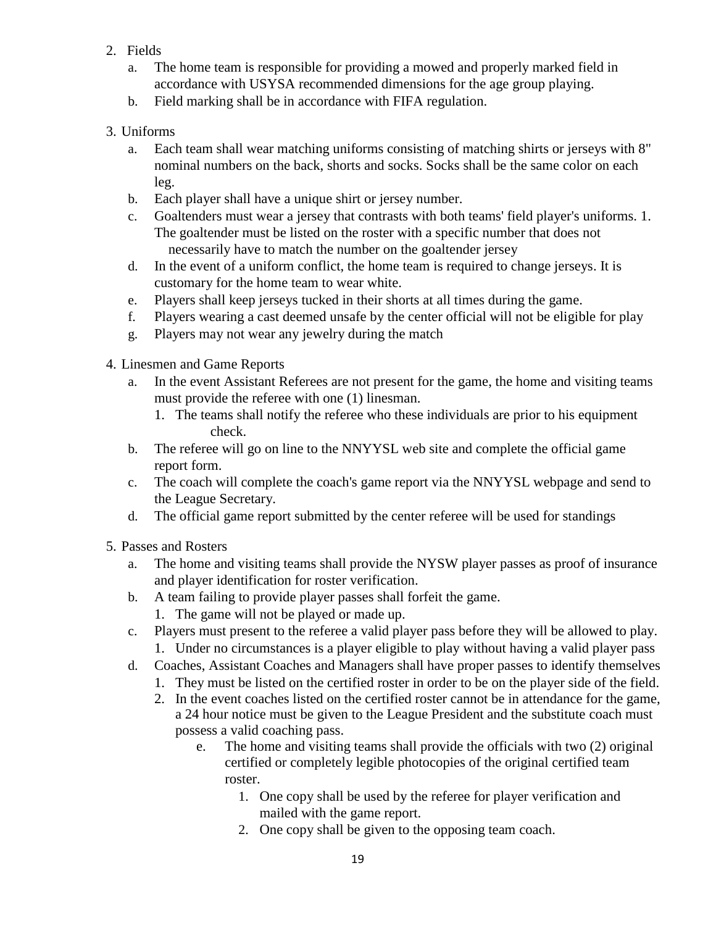- 2. Fields
	- a. The home team is responsible for providing a mowed and properly marked field in accordance with USYSA recommended dimensions for the age group playing.
	- b. Field marking shall be in accordance with FIFA regulation.
- 3. Uniforms
	- a. Each team shall wear matching uniforms consisting of matching shirts or jerseys with 8" nominal numbers on the back, shorts and socks. Socks shall be the same color on each leg.
	- b. Each player shall have a unique shirt or jersey number.
	- c. Goaltenders must wear a jersey that contrasts with both teams' field player's uniforms. 1. The goaltender must be listed on the roster with a specific number that does not necessarily have to match the number on the goaltender jersey
	- d. In the event of a uniform conflict, the home team is required to change jerseys. It is customary for the home team to wear white.
	- e. Players shall keep jerseys tucked in their shorts at all times during the game.
	- f. Players wearing a cast deemed unsafe by the center official will not be eligible for play
	- g. Players may not wear any jewelry during the match
- 4. Linesmen and Game Reports
	- a. In the event Assistant Referees are not present for the game, the home and visiting teams must provide the referee with one (1) linesman.
		- 1. The teams shall notify the referee who these individuals are prior to his equipment check.
	- b. The referee will go on line to the NNYYSL web site and complete the official game report form.
	- c. The coach will complete the coach's game report via the NNYYSL webpage and send to the League Secretary.
	- d. The official game report submitted by the center referee will be used for standings
- 5. Passes and Rosters
	- a. The home and visiting teams shall provide the NYSW player passes as proof of insurance and player identification for roster verification.
	- b. A team failing to provide player passes shall forfeit the game. 1. The game will not be played or made up.
	- c. Players must present to the referee a valid player pass before they will be allowed to play.
	- 1. Under no circumstances is a player eligible to play without having a valid player pass
	- d. Coaches, Assistant Coaches and Managers shall have proper passes to identify themselves
		- 1. They must be listed on the certified roster in order to be on the player side of the field.
		- 2. In the event coaches listed on the certified roster cannot be in attendance for the game, a 24 hour notice must be given to the League President and the substitute coach must possess a valid coaching pass.
			- e. The home and visiting teams shall provide the officials with two (2) original certified or completely legible photocopies of the original certified team roster.
				- 1. One copy shall be used by the referee for player verification and mailed with the game report.
				- 2. One copy shall be given to the opposing team coach.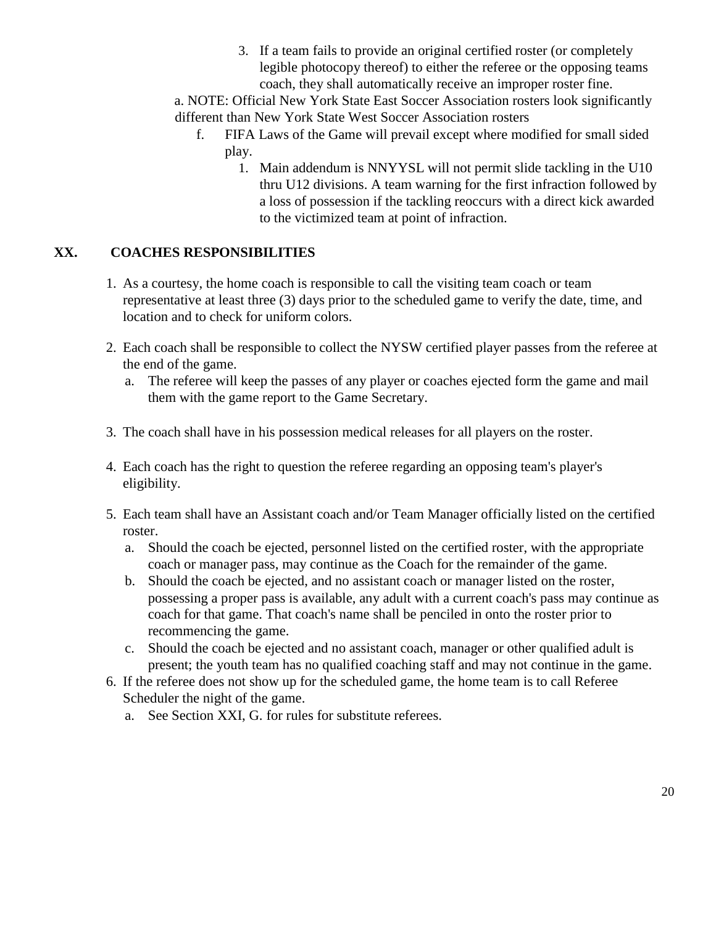3. If a team fails to provide an original certified roster (or completely legible photocopy thereof) to either the referee or the opposing teams coach, they shall automatically receive an improper roster fine.

a. NOTE: Official New York State East Soccer Association rosters look significantly different than New York State West Soccer Association rosters

- f. FIFA Laws of the Game will prevail except where modified for small sided play.
	- 1. Main addendum is NNYYSL will not permit slide tackling in the U10 thru U12 divisions. A team warning for the first infraction followed by a loss of possession if the tackling reoccurs with a direct kick awarded to the victimized team at point of infraction.

## **XX. COACHES RESPONSIBILITIES**

- 1. As a courtesy, the home coach is responsible to call the visiting team coach or team representative at least three (3) days prior to the scheduled game to verify the date, time, and location and to check for uniform colors.
- 2. Each coach shall be responsible to collect the NYSW certified player passes from the referee at the end of the game.
	- a. The referee will keep the passes of any player or coaches ejected form the game and mail them with the game report to the Game Secretary.
- 3. The coach shall have in his possession medical releases for all players on the roster.
- 4. Each coach has the right to question the referee regarding an opposing team's player's eligibility.
- 5. Each team shall have an Assistant coach and/or Team Manager officially listed on the certified roster.
	- a. Should the coach be ejected, personnel listed on the certified roster, with the appropriate coach or manager pass, may continue as the Coach for the remainder of the game.
	- b. Should the coach be ejected, and no assistant coach or manager listed on the roster, possessing a proper pass is available, any adult with a current coach's pass may continue as coach for that game. That coach's name shall be penciled in onto the roster prior to recommencing the game.
	- c. Should the coach be ejected and no assistant coach, manager or other qualified adult is present; the youth team has no qualified coaching staff and may not continue in the game.
- 6. If the referee does not show up for the scheduled game, the home team is to call Referee Scheduler the night of the game.
	- a. See Section XXI, G. for rules for substitute referees.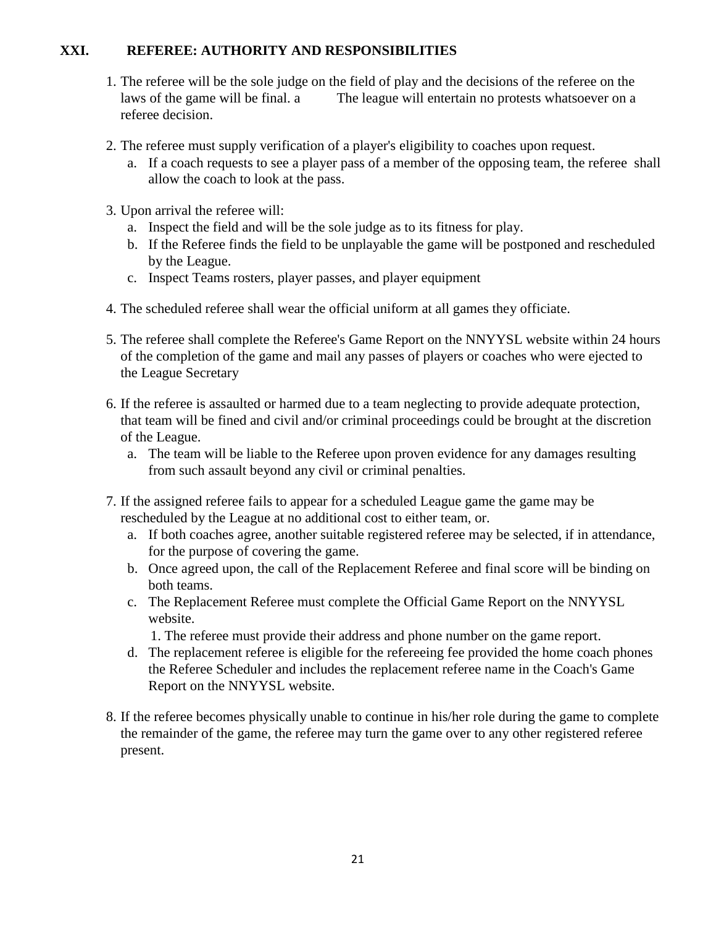#### **XXI. REFEREE: AUTHORITY AND RESPONSIBILITIES**

- 1. The referee will be the sole judge on the field of play and the decisions of the referee on the laws of the game will be final. a The league will entertain no protests whatsoever on a referee decision.
- 2. The referee must supply verification of a player's eligibility to coaches upon request.
	- a. If a coach requests to see a player pass of a member of the opposing team, the referee shall allow the coach to look at the pass.
- 3. Upon arrival the referee will:
	- a. Inspect the field and will be the sole judge as to its fitness for play.
	- b. If the Referee finds the field to be unplayable the game will be postponed and rescheduled by the League.
	- c. Inspect Teams rosters, player passes, and player equipment
- 4. The scheduled referee shall wear the official uniform at all games they officiate.
- 5. The referee shall complete the Referee's Game Report on the NNYYSL website within 24 hours of the completion of the game and mail any passes of players or coaches who were ejected to the League Secretary
- 6. If the referee is assaulted or harmed due to a team neglecting to provide adequate protection, that team will be fined and civil and/or criminal proceedings could be brought at the discretion of the League.
	- a. The team will be liable to the Referee upon proven evidence for any damages resulting from such assault beyond any civil or criminal penalties.
- 7. If the assigned referee fails to appear for a scheduled League game the game may be rescheduled by the League at no additional cost to either team, or.
	- a. If both coaches agree, another suitable registered referee may be selected, if in attendance, for the purpose of covering the game.
	- b. Once agreed upon, the call of the Replacement Referee and final score will be binding on both teams.
	- c. The Replacement Referee must complete the Official Game Report on the NNYYSL website.
		- 1. The referee must provide their address and phone number on the game report.
	- d. The replacement referee is eligible for the refereeing fee provided the home coach phones the Referee Scheduler and includes the replacement referee name in the Coach's Game Report on the NNYYSL website.
- 8. If the referee becomes physically unable to continue in his/her role during the game to complete the remainder of the game, the referee may turn the game over to any other registered referee present.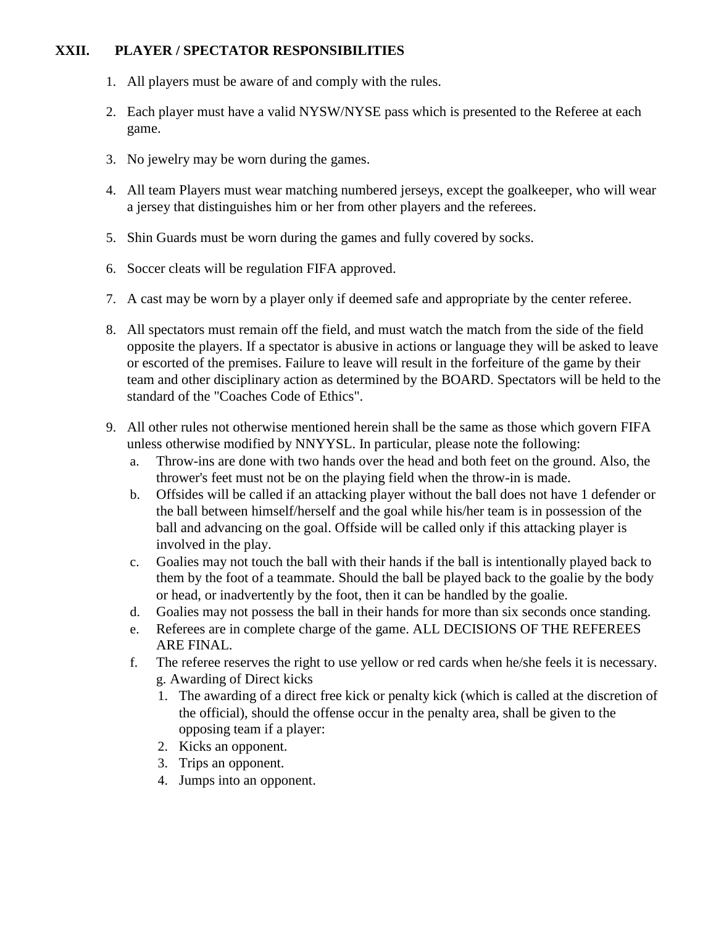#### **XXII. PLAYER / SPECTATOR RESPONSIBILITIES**

- 1. All players must be aware of and comply with the rules.
- 2. Each player must have a valid NYSW/NYSE pass which is presented to the Referee at each game.
- 3. No jewelry may be worn during the games.
- 4. All team Players must wear matching numbered jerseys, except the goalkeeper, who will wear a jersey that distinguishes him or her from other players and the referees.
- 5. Shin Guards must be worn during the games and fully covered by socks.
- 6. Soccer cleats will be regulation FIFA approved.
- 7. A cast may be worn by a player only if deemed safe and appropriate by the center referee.
- 8. All spectators must remain off the field, and must watch the match from the side of the field opposite the players. If a spectator is abusive in actions or language they will be asked to leave or escorted of the premises. Failure to leave will result in the forfeiture of the game by their team and other disciplinary action as determined by the BOARD. Spectators will be held to the standard of the "Coaches Code of Ethics".
- 9. All other rules not otherwise mentioned herein shall be the same as those which govern FIFA unless otherwise modified by NNYYSL. In particular, please note the following:
	- a. Throw-ins are done with two hands over the head and both feet on the ground. Also, the thrower's feet must not be on the playing field when the throw-in is made.
	- b. Offsides will be called if an attacking player without the ball does not have 1 defender or the ball between himself/herself and the goal while his/her team is in possession of the ball and advancing on the goal. Offside will be called only if this attacking player is involved in the play.
	- c. Goalies may not touch the ball with their hands if the ball is intentionally played back to them by the foot of a teammate. Should the ball be played back to the goalie by the body or head, or inadvertently by the foot, then it can be handled by the goalie.
	- d. Goalies may not possess the ball in their hands for more than six seconds once standing.
	- e. Referees are in complete charge of the game. ALL DECISIONS OF THE REFEREES ARE FINAL.
	- f. The referee reserves the right to use yellow or red cards when he/she feels it is necessary. g. Awarding of Direct kicks
		- 1. The awarding of a direct free kick or penalty kick (which is called at the discretion of the official), should the offense occur in the penalty area, shall be given to the opposing team if a player:
		- 2. Kicks an opponent.
		- 3. Trips an opponent.
		- 4. Jumps into an opponent.